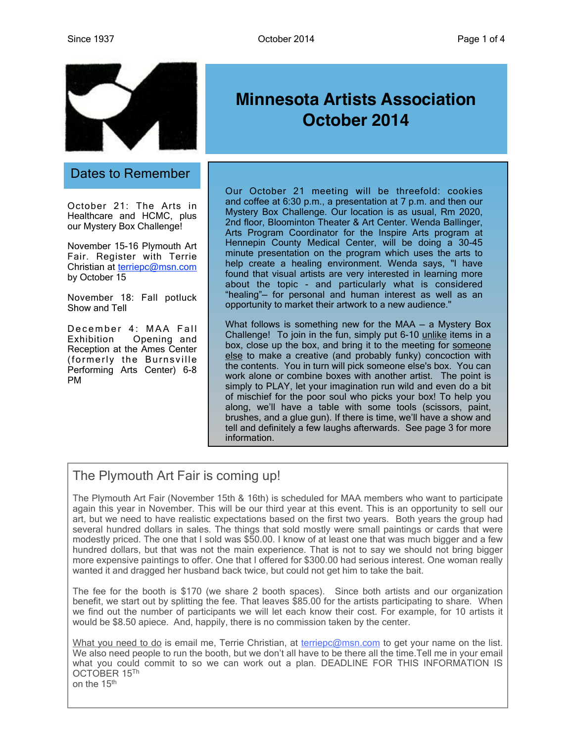

### Dates to Remember

October 21: The Arts in Healthcare and HCMC, plus our Mystery Box Challenge!

November 15-16 Plymouth Art Fair. Register with Terrie Christian at [terriepc@msn.com](mailto:terriepc@msn.com) by October 15

November 18: Fall potluck Show and Tell

December 4: MAA Fall Exhibition Opening and Reception at the Ames Center (formerly the Burnsville Performing Arts Center) 6-8 PM

# **Minnesota Artists Association October 2014**

Our October 21 meeting will be threefold: cookies and coffee at 6:30 p.m., a presentation at 7 p.m. and then our Mystery Box Challenge. Our location is as usual, Rm 2020, 2nd floor, Bloominton Theater & Art Center. Wenda Ballinger, Arts Program Coordinator for the Inspire Arts program at Hennepin County Medical Center, will be doing a 30-45 minute presentation on the program which uses the arts to help create a healing environment. Wenda says, "I have found that visual artists are very interested in learning more about the topic - and particularly what is considered "healing"— for personal and human interest as well as an opportunity to market their artwork to a new audience."

What follows is something new for the MAA — a Mystery Box Challenge! To join in the fun, simply put 6-10 unlike items in a box, close up the box, and bring it to the meeting for someone else to make a creative (and probably funky) concoction with the contents. You in turn will pick someone else's box. You can work alone or combine boxes with another artist. The point is simply to PLAY, let your imagination run wild and even do a bit of mischief for the poor soul who picks your box! To help you along, we'll have a table with some tools (scissors, paint, brushes, and a glue gun). If there is time, we'll have a show and tell and definitely a few laughs afterwards. See page 3 for more information.

# The Plymouth Art Fair is coming up!

The Plymouth Art Fair (November 15th & 16th) is scheduled for MAA members who want to participate again this year in November. This will be our third year at this event. This is an opportunity to sell our art, but we need to have realistic expectations based on the first two years. Both years the group had several hundred dollars in sales. The things that sold mostly were small paintings or cards that were modestly priced. The one that I sold was \$50.00. I know of at least one that was much bigger and a few hundred dollars, but that was not the main experience. That is not to say we should not bring bigger more expensive paintings to offer. One that I offered for \$300.00 had serious interest. One woman really wanted it and dragged her husband back twice, but could not get him to take the bait.

The fee for the booth is \$170 (we share 2 booth spaces). Since both artists and our organization benefit, we start out by splitting the fee. That leaves \$85.00 for the artists participating to share. When we find out the number of participants we will let each know their cost. For example, for 10 artists it would be \$8.50 apiece. And, happily, there is no commission taken by the center.

What you need to do is email me, Terrie Christian, at [terriepc@msn.com](mailto:terriepc@msn.com) to get your name on the list. We also need people to run the booth, but we don't all have to be there all the time. Tell me in your email what you could commit to so we can work out a plan. DEADLINE FOR THIS INFORMATION IS OCTOBER 15Th on the 15th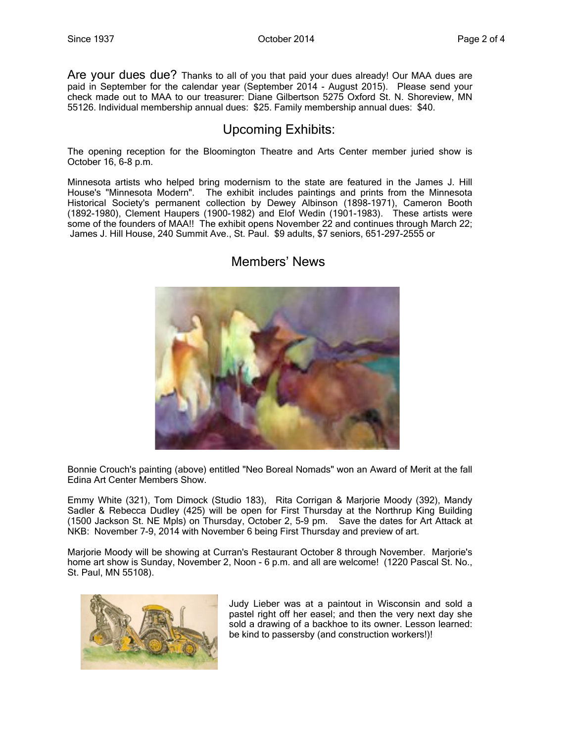Are your dues due? Thanks to all of you that paid your dues already! Our MAA dues are paid in September for the calendar year (September 2014 - August 2015). Please send your check made out to MAA to our treasurer: Diane Gilbertson 5275 Oxford St. N. Shoreview, MN 55126. Individual membership annual dues: \$25. Family membership annual dues: \$40.

#### Upcoming Exhibits:

The opening reception for the Bloomington Theatre and Arts Center member juried show is October 16, 6-8 p.m.

Minnesota artists who helped bring modernism to the state are featured in the James J. Hill House's "Minnesota Modern". The exhibit includes paintings and prints from the Minnesota Historical Society's permanent collection by Dewey Albinson (1898-1971), Cameron Booth (1892-1980), Clement Haupers (1900-1982) and Elof Wedin (1901-1983). These artists were some of the founders of MAA!! The exhibit opens November 22 and continues through March 22; James J. Hill House, 240 Summit Ave., St. Paul. \$9 adults, \$7 seniors, 651-297-2555 or



#### Members' News

Bonnie Crouch's painting (above) entitled "Neo Boreal Nomads" won an Award of Merit at the fall Edina Art Center Members Show.

Emmy White (321), Tom Dimock (Studio 183), Rita Corrigan & Marjorie Moody (392), Mandy Sadler & Rebecca Dudley (425) will be open for First Thursday at the Northrup King Building (1500 Jackson St. NE Mpls) on Thursday, October 2, 5-9 pm. Save the dates for Art Attack at NKB: November 7-9, 2014 with November 6 being First Thursday and preview of art.

Marjorie Moody will be showing at Curran's Restaurant October 8 through November. Marjorie's home art show is Sunday, November 2, Noon - 6 p.m. and all are welcome! (1220 Pascal St. No., St. Paul, MN 55108).



Judy Lieber was at a paintout in Wisconsin and sold a pastel right off her easel; and then the very next day she sold a drawing of a backhoe to its owner. Lesson learned: be kind to passersby (and construction workers!)!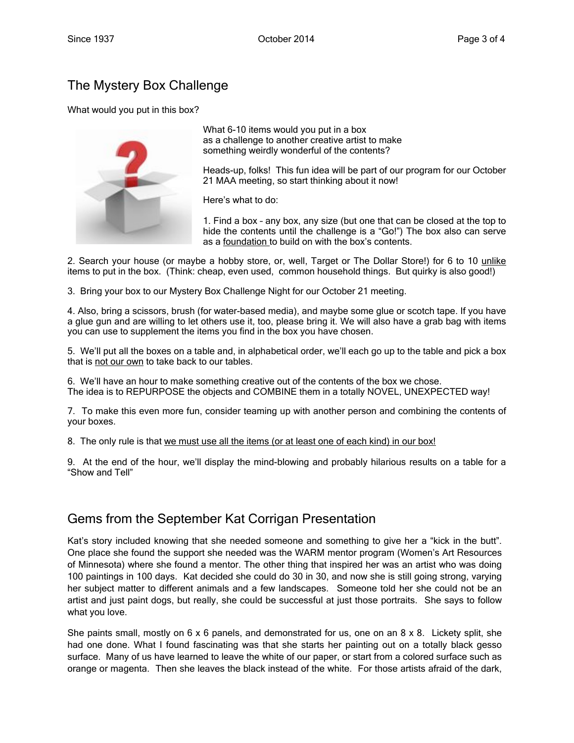# The Mystery Box Challenge

What would you put in this box?



What 6-10 items would you put in a box as a challenge to another creative artist to make something weirdly wonderful of the contents?

Heads-up, folks! This fun idea will be part of our program for our October 21 MAA meeting, so start thinking about it now!

Here's what to do:

1. Find a box – any box, any size (but one that can be closed at the top to hide the contents until the challenge is a "Go!") The box also can serve as a foundation to build on with the box's contents.

2. Search your house (or maybe a hobby store, or, well, Target or The Dollar Store!) for 6 to 10 unlike items to put in the box. (Think: cheap, even used, common household things. But quirky is also good!)

3. Bring your box to our Mystery Box Challenge Night for our October 21 meeting.

4. Also, bring a scissors, brush (for water-based media), and maybe some glue or scotch tape. If you have a glue gun and are willing to let others use it, too, please bring it. We will also have a grab bag with items you can use to supplement the items you find in the box you have chosen.

5. We'll put all the boxes on a table and, in alphabetical order, we'll each go up to the table and pick a box that is not our own to take back to our tables.

6. We'll have an hour to make something creative out of the contents of the box we chose. The idea is to REPURPOSE the objects and COMBINE them in a totally NOVEL, UNEXPECTED way!

7. To make this even more fun, consider teaming up with another person and combining the contents of your boxes.

8. The only rule is that we must use all the items (or at least one of each kind) in our box!

9. At the end of the hour, we'll display the mind-blowing and probably hilarious results on a table for a "Show and Tell"

### Gems from the September Kat Corrigan Presentation

Kat's story included knowing that she needed someone and something to give her a "kick in the butt". One place she found the support she needed was the WARM mentor program (Women's Art Resources of Minnesota) where she found a mentor. The other thing that inspired her was an artist who was doing 100 paintings in 100 days. Kat decided she could do 30 in 30, and now she is still going strong, varying her subject matter to different animals and a few landscapes. Someone told her she could not be an artist and just paint dogs, but really, she could be successful at just those portraits. She says to follow what you love.

She paints small, mostly on 6 x 6 panels, and demonstrated for us, one on an 8 x 8. Lickety split, she had one done. What I found fascinating was that she starts her painting out on a totally black gesso surface. Many of us have learned to leave the white of our paper, or start from a colored surface such as orange or magenta. Then she leaves the black instead of the white. For those artists afraid of the dark,